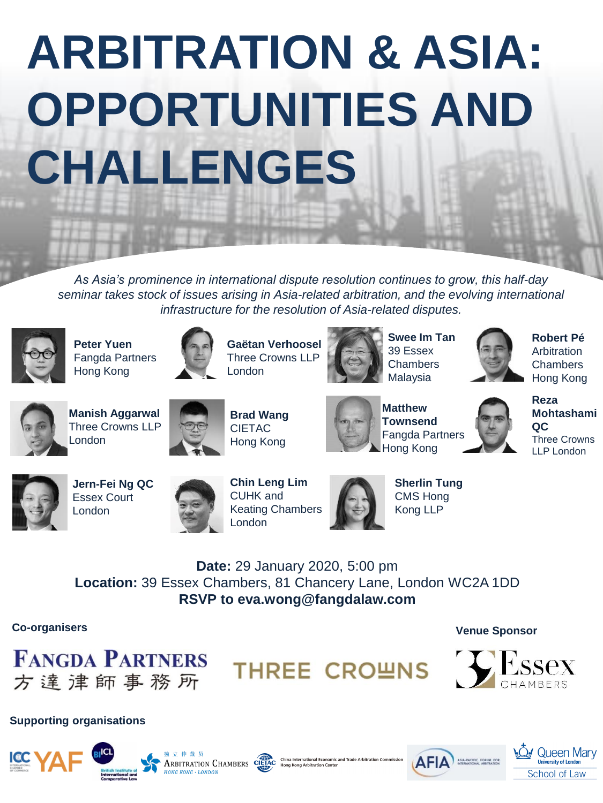# **ARBITRATION & ASIA: OPPORTUNITIES AND CHALLENGES**

*As Asia's prominence in international dispute resolution continues to grow, this half-day* seminar takes stock of issues arising in Asia-related arbitration, and the evolving international *infrastructure for the resolution of Asia-related disputes.* 



**Peter Yuen** Fangda Partners Hong Kong



**Gaëtan Verhoosel** Three Crowns LLP London



**Swee Im Tan** 39 Essex **Chambers** Malaysia



**Robert Pé**  Arbitration **Chambers** Hong Kong



**Manish Aggarwal**  Three Crowns LLP London



**Brad Wang** CIETAC Hong Kong



**Matthew Townsend** Fangda Partners Hong Kong





**Jern-Fei Ng QC**  Essex Court London



**Chin Leng Lim** CUHK and Keating Chambers London



**Sherlin Tung** CMS Hong Kong LLP

**Date:** 29 January 2020, 5:00 pm **Location:** 39 Essex Chambers, 81 Chancery Lane, London WC2A 1DD **RSVP to eva.wong@fangdalaw.com**

#### **Co-organisers Venue Sponsor**



















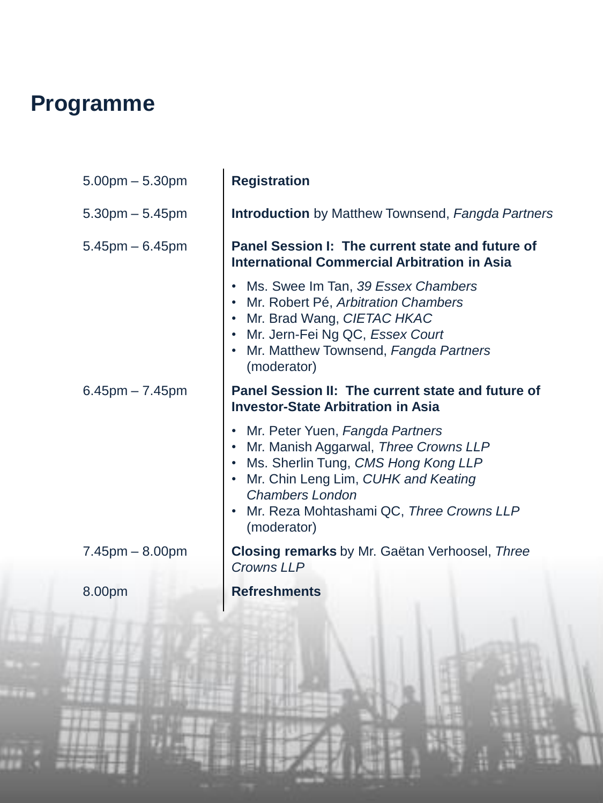## **Programme**

| $5.00$ pm $- 5.30$ pm | <b>Registration</b>                                                                                                                                                                                                                                                       |
|-----------------------|---------------------------------------------------------------------------------------------------------------------------------------------------------------------------------------------------------------------------------------------------------------------------|
| $5.30$ pm $- 5.45$ pm | <b>Introduction</b> by Matthew Townsend, Fangda Partners                                                                                                                                                                                                                  |
| $5.45$ pm $-6.45$ pm  | Panel Session I: The current state and future of<br><b>International Commercial Arbitration in Asia</b>                                                                                                                                                                   |
|                       | Ms. Swee Im Tan, 39 Essex Chambers<br>$\bullet$<br>Mr. Robert Pé, Arbitration Chambers<br>$\bullet$<br>• Mr. Brad Wang, CIETAC HKAC<br>• Mr. Jern-Fei Ng QC, Essex Court<br>• Mr. Matthew Townsend, Fangda Partners<br>(moderator)                                        |
| $6.45$ pm $-7.45$ pm  | Panel Session II: The current state and future of<br><b>Investor-State Arbitration in Asia</b>                                                                                                                                                                            |
|                       | Mr. Peter Yuen, Fangda Partners<br>$\bullet$<br>Mr. Manish Aggarwal, Three Crowns LLP<br>Ms. Sherlin Tung, CMS Hong Kong LLP<br>$\bullet$<br>• Mr. Chin Leng Lim, CUHK and Keating<br><b>Chambers London</b><br>• Mr. Reza Mohtashami QC, Three Crowns LLP<br>(moderator) |
| $7.45$ pm $- 8.00$ pm | <b>Closing remarks</b> by Mr. Gaëtan Verhoosel, Three<br><b>Crowns LLP</b>                                                                                                                                                                                                |
| 8.00pm                | <b>Refreshments</b>                                                                                                                                                                                                                                                       |
|                       |                                                                                                                                                                                                                                                                           |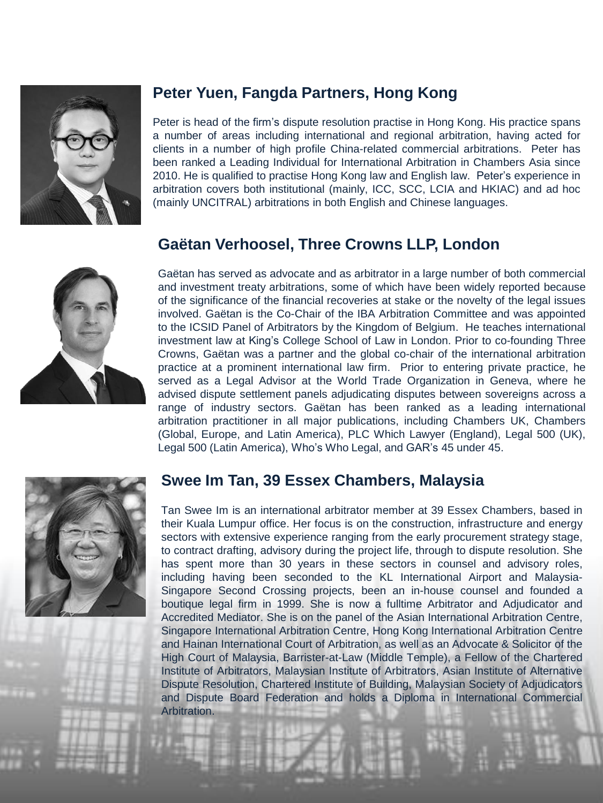

#### **Peter Yuen, Fangda Partners, Hong Kong**

Peter is head of the firm's dispute resolution practise in Hong Kong. His practice spans a number of areas including international and regional arbitration, having acted for clients in a number of high profile China-related commercial arbitrations. Peter has been ranked a Leading Individual for International Arbitration in Chambers Asia since 2010. He is qualified to practise Hong Kong law and English law. Peter's experience in arbitration covers both institutional (mainly, ICC, SCC, LCIA and HKIAC) and ad hoc (mainly UNCITRAL) arbitrations in both English and Chinese languages.

#### **Gaëtan Verhoosel, Three Crowns LLP, London**



Gaëtan has served as advocate and as arbitrator in a large number of both commercial and investment treaty arbitrations, some of which have been widely reported because of the significance of the financial recoveries at stake or the novelty of the legal issues involved. Gaëtan is the Co-Chair of the IBA Arbitration Committee and was appointed to the ICSID Panel of Arbitrators by the Kingdom of Belgium. He teaches international investment law at King's College School of Law in London. Prior to co-founding Three Crowns, Gaëtan was a partner and the global co-chair of the international arbitration practice at a prominent international law firm. Prior to entering private practice, he served as a Legal Advisor at the World Trade Organization in Geneva, where he advised dispute settlement panels adjudicating disputes between sovereigns across a range of industry sectors. Gaëtan has been ranked as a leading international arbitration practitioner in all major publications, including Chambers UK, Chambers (Global, Europe, and Latin America), PLC Which Lawyer (England), Legal 500 (UK), Legal 500 (Latin America), Who's Who Legal, and GAR's 45 under 45.



#### **Swee Im Tan, 39 Essex Chambers, Malaysia**

Tan Swee Im is an international arbitrator member at 39 Essex Chambers, based in their Kuala Lumpur office. Her focus is on the construction, infrastructure and energy sectors with extensive experience ranging from the early procurement strategy stage, to contract drafting, advisory during the project life, through to dispute resolution. She has spent more than 30 years in these sectors in counsel and advisory roles, including having been seconded to the KL International Airport and Malaysia-Singapore Second Crossing projects, been an in-house counsel and founded a boutique legal firm in 1999. She is now a fulltime Arbitrator and Adjudicator and Accredited Mediator. She is on the panel of the Asian International Arbitration Centre, Singapore International Arbitration Centre, Hong Kong International Arbitration Centre and Hainan International Court of Arbitration, as well as an Advocate & Solicitor of the High Court of Malaysia, Barrister-at-Law (Middle Temple), a Fellow of the Chartered Institute of Arbitrators, Malaysian Institute of Arbitrators, Asian Institute of Alternative Dispute Resolution, Chartered Institute of Building, Malaysian Society of Adjudicators and Dispute Board Federation and holds a Diploma in International Commercial Arbitration.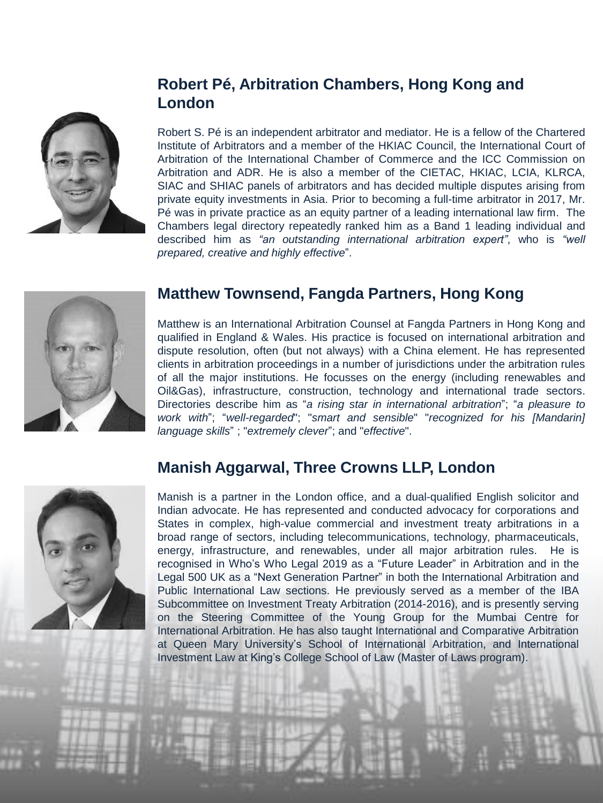

### **Robert Pé, Arbitration Chambers, Hong Kong and London**

Robert S. Pé is an independent arbitrator and mediator. He is a fellow of the Chartered Institute of Arbitrators and a member of the HKIAC Council, the International Court of Arbitration of the International Chamber of Commerce and the ICC Commission on Arbitration and ADR. He is also a member of the CIETAC, HKIAC, LCIA, KLRCA, SIAC and SHIAC panels of arbitrators and has decided multiple disputes arising from private equity investments in Asia. Prior to becoming a full-time arbitrator in 2017, Mr. Pé was in private practice as an equity partner of a leading international law firm. The Chambers legal directory repeatedly ranked him as a Band 1 leading individual and described him as *"an outstanding international arbitration expert"*, who is *"well prepared, creative and highly effective*".



#### **Matthew Townsend, Fangda Partners, Hong Kong**

Matthew is an International Arbitration Counsel at Fangda Partners in Hong Kong and qualified in England & Wales. His practice is focused on international arbitration and dispute resolution, often (but not always) with a China element. He has represented clients in arbitration proceedings in a number of jurisdictions under the arbitration rules of all the major institutions. He focusses on the energy (including renewables and Oil&Gas), infrastructure, construction, technology and international trade sectors. Directories describe him as "*a rising star in international arbitration*"; "*a pleasure to work with*"; "*well-regarded*"; "*smart and sensible*" "*recognized for his [Mandarin] language skills*" ; "*extremely clever*"; and "*effective*".



#### **Manish Aggarwal, Three Crowns LLP, London**

Manish is a partner in the London office, and a dual-qualified English solicitor and Indian advocate. He has represented and conducted advocacy for corporations and States in complex, high-value commercial and investment treaty arbitrations in a broad range of sectors, including telecommunications, technology, pharmaceuticals, energy, infrastructure, and renewables, under all major arbitration rules. He is recognised in Who's Who Legal 2019 as a "Future Leader" in Arbitration and in the Legal 500 UK as a "Next Generation Partner" in both the International Arbitration and Public International Law sections. He previously served as a member of the IBA Subcommittee on Investment Treaty Arbitration (2014-2016), and is presently serving on the Steering Committee of the Young Group for the Mumbai Centre for International Arbitration. He has also taught International and Comparative Arbitration at Queen Mary University's School of International Arbitration, and International Investment Law at King's College School of Law (Master of Laws program).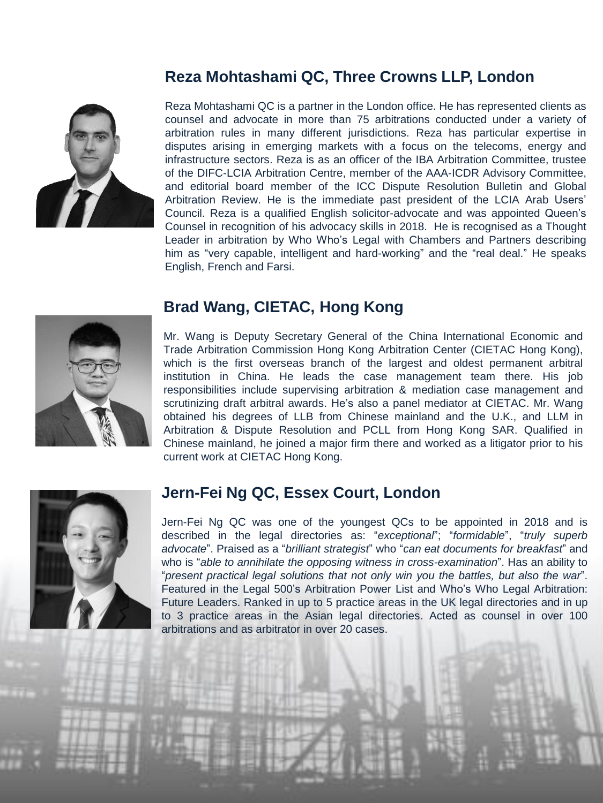#### **Reza Mohtashami QC, Three Crowns LLP, London**



Reza Mohtashami QC is a partner in the London office. He has represented clients as counsel and advocate in more than 75 arbitrations conducted under a variety of arbitration rules in many different jurisdictions. Reza has particular expertise in disputes arising in emerging markets with a focus on the telecoms, energy and infrastructure sectors. Reza is as an officer of the IBA Arbitration Committee, trustee of the DIFC-LCIA Arbitration Centre, member of the AAA-ICDR Advisory Committee, and editorial board member of the ICC Dispute Resolution Bulletin and Global Arbitration Review. He is the immediate past president of the LCIA Arab Users' Council. Reza is a qualified English solicitor-advocate and was appointed Queen's Counsel in recognition of his advocacy skills in 2018. He is recognised as a Thought Leader in arbitration by Who Who's Legal with Chambers and Partners describing him as "very capable, intelligent and hard-working" and the "real deal." He speaks English, French and Farsi.



#### **Brad Wang, CIETAC, Hong Kong**

Mr. Wang is Deputy Secretary General of the China International Economic and Trade Arbitration Commission Hong Kong Arbitration Center (CIETAC Hong Kong), which is the first overseas branch of the largest and oldest permanent arbitral institution in China. He leads the case management team there. His job responsibilities include supervising arbitration & mediation case management and scrutinizing draft arbitral awards. He's also a panel mediator at CIETAC. Mr. Wang obtained his degrees of LLB from Chinese mainland and the U.K., and LLM in Arbitration & Dispute Resolution and PCLL from Hong Kong SAR. Qualified in Chinese mainland, he joined a major firm there and worked as a litigator prior to his current work at CIETAC Hong Kong.



#### **Jern-Fei Ng QC, Essex Court, London**

Jern-Fei Ng QC was one of the youngest QCs to be appointed in 2018 and is described in the legal directories as: "*exceptional*"; "*formidable*", "*truly superb advocate*". Praised as a "*brilliant strategist*" who "*can eat documents for breakfast*" and who is "*able to annihilate the opposing witness in cross-examination*". Has an ability to "*present practical legal solutions that not only win you the battles, but also the war*". Featured in the Legal 500's Arbitration Power List and Who's Who Legal Arbitration: Future Leaders. Ranked in up to 5 practice areas in the UK legal directories and in up to 3 practice areas in the Asian legal directories. Acted as counsel in over 100 arbitrations and as arbitrator in over 20 cases.